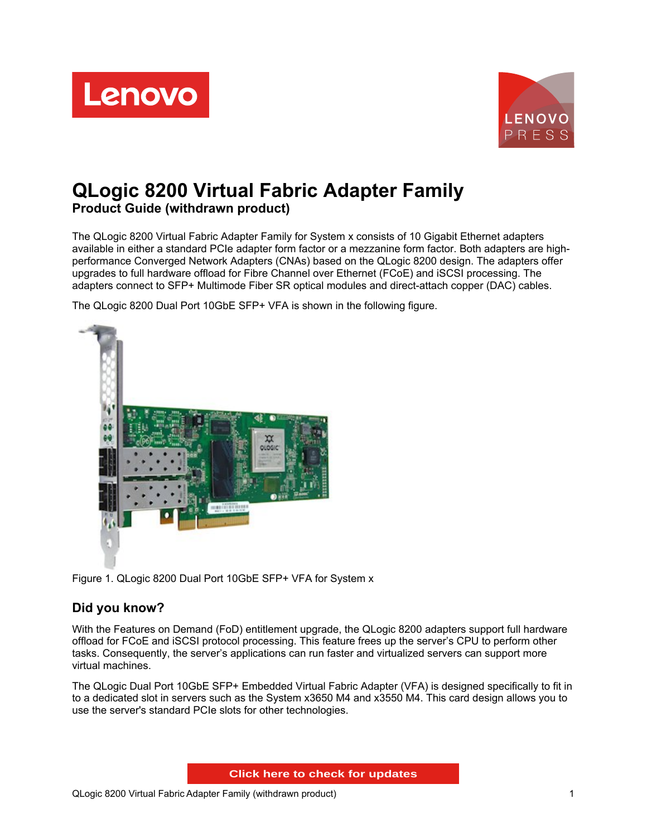



# **QLogic 8200 Virtual Fabric Adapter Family Product Guide (withdrawn product)**

The QLogic 8200 Virtual Fabric Adapter Family for System x consists of 10 Gigabit Ethernet adapters available in either a standard PCIe adapter form factor or a mezzanine form factor. Both adapters are highperformance Converged Network Adapters (CNAs) based on the QLogic 8200 design. The adapters offer upgrades to full hardware offload for Fibre Channel over Ethernet (FCoE) and iSCSI processing. The adapters connect to SFP+ Multimode Fiber SR optical modules and direct-attach copper (DAC) cables.

The QLogic 8200 Dual Port 10GbE SFP+ VFA is shown in the following figure.



Figure 1. QLogic 8200 Dual Port 10GbE SFP+ VFA for System x

# **Did you know?**

With the Features on Demand (FoD) entitlement upgrade, the QLogic 8200 adapters support full hardware offload for FCoE and iSCSI protocol processing. This feature frees up the server's CPU to perform other tasks. Consequently, the server's applications can run faster and virtualized servers can support more virtual machines.

The QLogic Dual Port 10GbE SFP+ Embedded Virtual Fabric Adapter (VFA) is designed specifically to fit in to a dedicated slot in servers such as the System x3650 M4 and x3550 M4. This card design allows you to use the server's standard PCIe slots for other technologies.

**Click here to check for updates**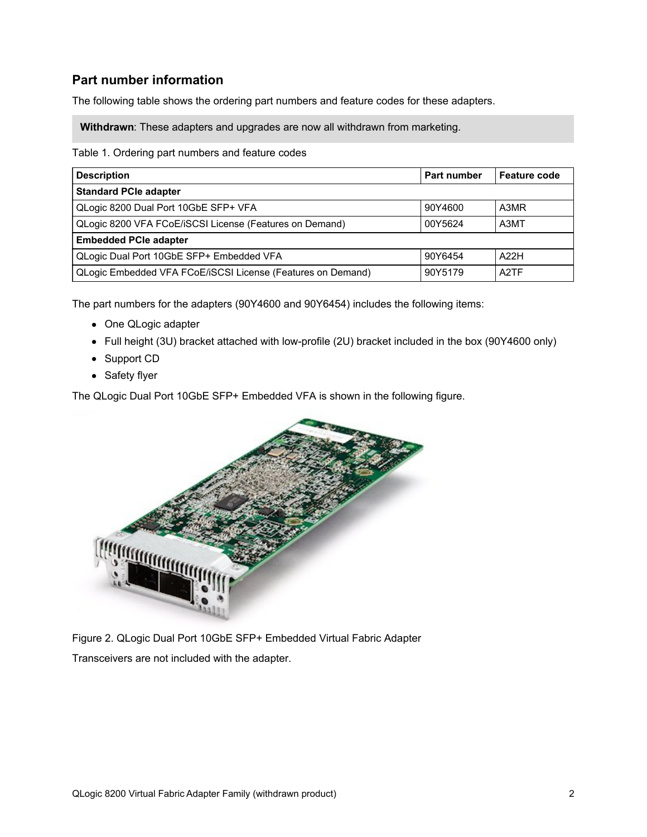# **Part number information**

The following table shows the ordering part numbers and feature codes for these adapters.

**Withdrawn**: These adapters and upgrades are now all withdrawn from marketing.

Table 1. Ordering part numbers and feature codes

| <b>Description</b>                                          | <b>Feature code</b> |                   |  |
|-------------------------------------------------------------|---------------------|-------------------|--|
| <b>Standard PCIe adapter</b>                                |                     |                   |  |
| QLogic 8200 Dual Port 10GbE SFP+ VFA                        | 90Y4600             | A3MR              |  |
| QLogic 8200 VFA FCoE/iSCSI License (Features on Demand)     | 00Y5624             | A3MT              |  |
| <b>Embedded PCIe adapter</b>                                |                     |                   |  |
| QLogic Dual Port 10GbE SFP+ Embedded VFA                    | 90Y6454             | A22H              |  |
| QLogic Embedded VFA FCoE/iSCSI License (Features on Demand) | 90Y5179             | A <sub>2</sub> TF |  |

The part numbers for the adapters (90Y4600 and 90Y6454) includes the following items:

- One QLogic adapter
- Full height (3U) bracket attached with low-profile (2U) bracket included in the box (90Y4600 only)
- Support CD
- Safety flyer

The QLogic Dual Port 10GbE SFP+ Embedded VFA is shown in the following figure.



Figure 2. QLogic Dual Port 10GbE SFP+ Embedded Virtual Fabric Adapter Transceivers are not included with the adapter.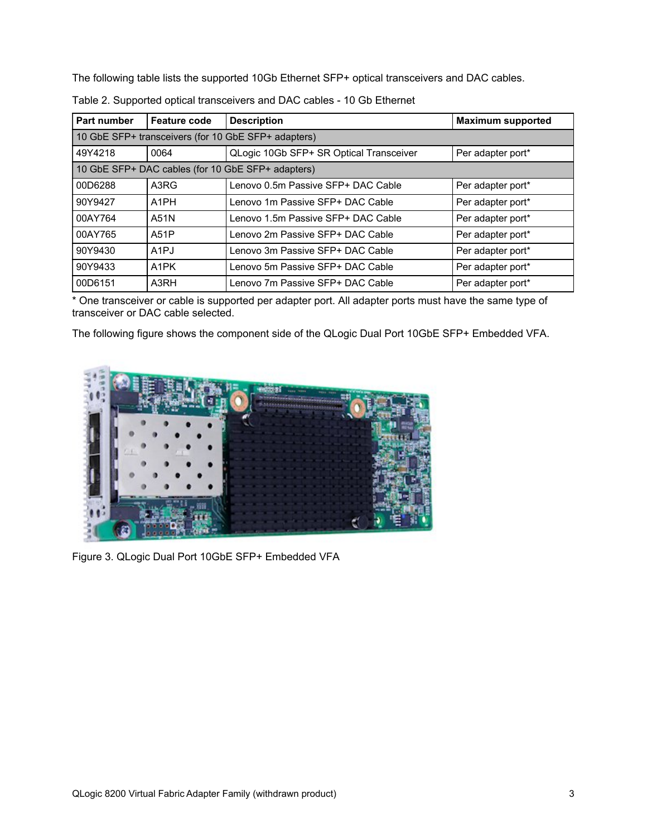The following table lists the supported 10Gb Ethernet SFP+ optical transceivers and DAC cables.

| Part number                                         | <b>Feature code</b> | <b>Description</b>                                | <b>Maximum supported</b> |  |  |  |  |
|-----------------------------------------------------|---------------------|---------------------------------------------------|--------------------------|--|--|--|--|
| 10 GbE SFP+ transceivers (for 10 GbE SFP+ adapters) |                     |                                                   |                          |  |  |  |  |
| 49Y4218                                             | 0064                | QLogic 10Gb SFP+ SR Optical Transceiver           | Per adapter port*        |  |  |  |  |
|                                                     |                     | 10 GbE SFP+ DAC cables (for 10 GbE SFP+ adapters) |                          |  |  |  |  |
| 00D6288                                             | A3RG                | Lenovo 0.5m Passive SFP+ DAC Cable                | Per adapter port*        |  |  |  |  |
| 90Y9427                                             | A <sub>1</sub> PH   | Lenovo 1m Passive SFP+ DAC Cable                  | Per adapter port*        |  |  |  |  |
| 00AY764                                             | A51N                | Lenovo 1.5m Passive SFP+ DAC Cable                | Per adapter port*        |  |  |  |  |
| 00AY765                                             | A51P                | Lenovo 2m Passive SFP+ DAC Cable                  | Per adapter port*        |  |  |  |  |
| 90Y9430                                             | A <sub>1</sub> PJ   | Lenovo 3m Passive SFP+ DAC Cable                  | Per adapter port*        |  |  |  |  |
| 90Y9433                                             | A <sub>1</sub> PK   | Lenovo 5m Passive SFP+ DAC Cable                  | Per adapter port*        |  |  |  |  |
| 00D6151                                             | A3RH                | Lenovo 7m Passive SFP+ DAC Cable                  | Per adapter port*        |  |  |  |  |

Table 2. Supported optical transceivers and DAC cables - 10 Gb Ethernet

\* One transceiver or cable is supported per adapter port. All adapter ports must have the same type of transceiver or DAC cable selected.

The following figure shows the component side of the QLogic Dual Port 10GbE SFP+ Embedded VFA.



Figure 3. QLogic Dual Port 10GbE SFP+ Embedded VFA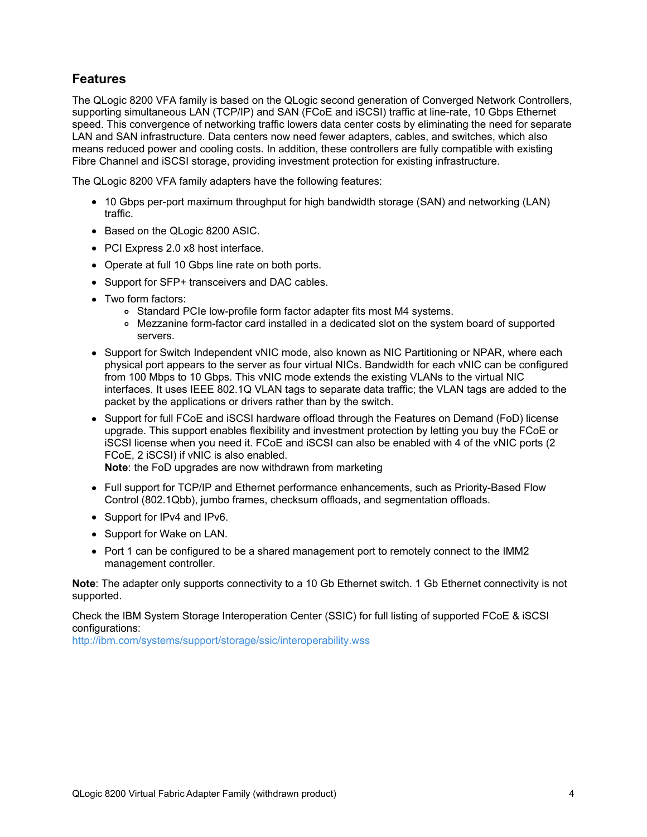# **Features**

The QLogic 8200 VFA family is based on the QLogic second generation of Converged Network Controllers, supporting simultaneous LAN (TCP/IP) and SAN (FCoE and iSCSI) traffic at line-rate, 10 Gbps Ethernet speed. This convergence of networking traffic lowers data center costs by eliminating the need for separate LAN and SAN infrastructure. Data centers now need fewer adapters, cables, and switches, which also means reduced power and cooling costs. In addition, these controllers are fully compatible with existing Fibre Channel and iSCSI storage, providing investment protection for existing infrastructure.

The QLogic 8200 VFA family adapters have the following features:

- 10 Gbps per-port maximum throughput for high bandwidth storage (SAN) and networking (LAN) traffic.
- Based on the QLogic 8200 ASIC.
- PCI Express 2.0 x8 host interface.
- Operate at full 10 Gbps line rate on both ports.
- Support for SFP+ transceivers and DAC cables.
- Two form factors:
	- Standard PCIe low-profile form factor adapter fits most M4 systems.
	- Mezzanine form-factor card installed in a dedicated slot on the system board of supported servers.
- Support for Switch Independent vNIC mode, also known as NIC Partitioning or NPAR, where each physical port appears to the server as four virtual NICs. Bandwidth for each vNIC can be configured from 100 Mbps to 10 Gbps. This vNIC mode extends the existing VLANs to the virtual NIC interfaces. It uses IEEE 802.1Q VLAN tags to separate data traffic; the VLAN tags are added to the packet by the applications or drivers rather than by the switch.
- Support for full FCoE and iSCSI hardware offload through the Features on Demand (FoD) license upgrade. This support enables flexibility and investment protection by letting you buy the FCoE or iSCSI license when you need it. FCoE and iSCSI can also be enabled with 4 of the vNIC ports (2 FCoE, 2 iSCSI) if vNIC is also enabled. **Note**: the FoD upgrades are now withdrawn from marketing
- Full support for TCP/IP and Ethernet performance enhancements, such as Priority-Based Flow Control (802.1Qbb), jumbo frames, checksum offloads, and segmentation offloads.
- Support for IPv4 and IPv6.
- Support for Wake on LAN.
- Port 1 can be configured to be a shared management port to remotely connect to the IMM2 management controller.

**Note**: The adapter only supports connectivity to a 10 Gb Ethernet switch. 1 Gb Ethernet connectivity is not supported.

Check the IBM System Storage Interoperation Center (SSIC) for full listing of supported FCoE & iSCSI configurations:

<http://ibm.com/systems/support/storage/ssic/interoperability.wss>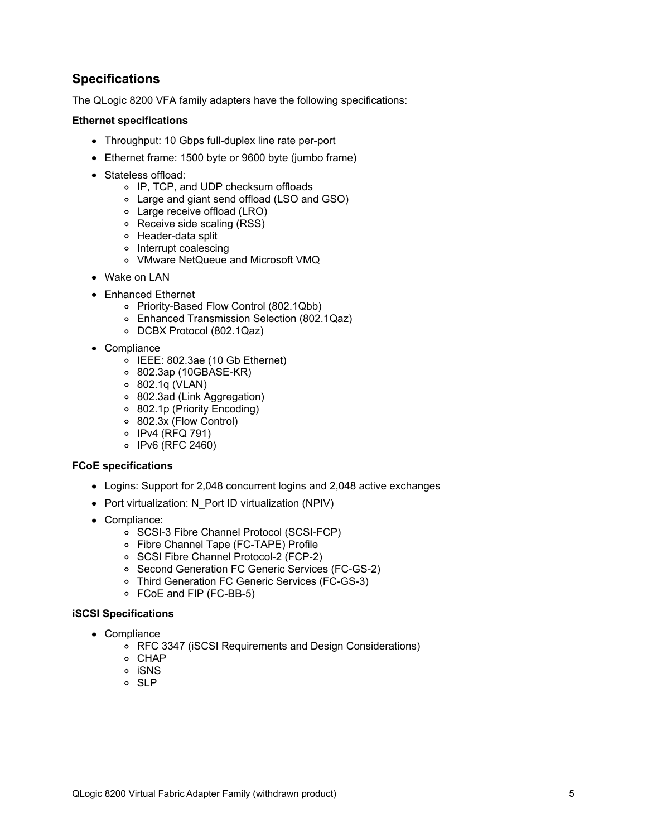## **Specifications**

The QLogic 8200 VFA family adapters have the following specifications:

#### **Ethernet specifications**

- Throughput: 10 Gbps full-duplex line rate per-port
- Ethernet frame: 1500 byte or 9600 byte (jumbo frame)
- Stateless offload:
	- IP, TCP, and UDP checksum offloads
	- Large and giant send offload (LSO and GSO)
	- Large receive offload (LRO)
	- Receive side scaling (RSS)
	- Header-data split
	- o Interrupt coalescing
	- VMware NetQueue and Microsoft VMQ
- Wake on LAN
- Enhanced Ethernet
	- Priority-Based Flow Control (802.1Qbb)
	- Enhanced Transmission Selection (802.1Qaz)
	- DCBX Protocol (802.1Qaz)
- Compliance
	- IEEE: 802.3ae (10 Gb Ethernet)
	- 802.3ap (10GBASE-KR)
	- 802.1q (VLAN)
	- 802.3ad (Link Aggregation)
	- 802.1p (Priority Encoding)
	- 802.3x (Flow Control)
	- IPv4 (RFQ 791)
	- IPv6 (RFC 2460)

## **FCoE specifications**

- Logins: Support for 2,048 concurrent logins and 2,048 active exchanges
- Port virtualization: N\_Port ID virtualization (NPIV)
- Compliance:
	- SCSI-3 Fibre Channel Protocol (SCSI-FCP)
	- Fibre Channel Tape (FC-TAPE) Profile
	- SCSI Fibre Channel Protocol-2 (FCP-2)
	- Second Generation FC Generic Services (FC-GS-2)
	- Third Generation FC Generic Services (FC-GS-3)
	- FCoE and FIP (FC-BB-5)

## **iSCSI Specifications**

- Compliance
	- RFC 3347 (iSCSI Requirements and Design Considerations)
	- o CHAP
	- iSNS
	- SLP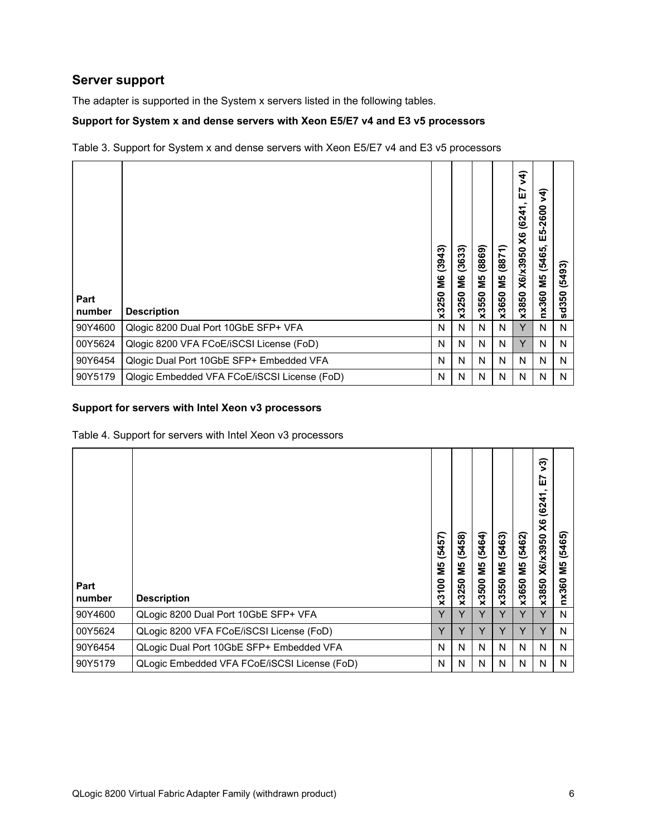## **Server support**

The adapter is supported in the System x servers listed in the following tables.

## **Support for System x and dense servers with Xeon E5/E7 v4 and E3 v5 processors**

Table 3. Support for System x and dense servers with Xeon E5/E7 v4 and E3 v5 processors

| Part<br>number | <b>Description</b>                           | (3943)<br>៖<br>x3250 | (3633)<br>ŠБ<br>x3250 | (8869)<br>5M<br>x3550 | (8871)<br>ЯM<br>x3650 | $\widetilde{4}$<br>∼<br>ш<br>(6241)<br>$\boldsymbol{\mathsf{X}}$<br>X6/x3950<br>x3850 | $\mathcal{F}$<br>E5-2600<br>(5465,<br>М5<br>nx360 | (5493)<br>sd350 |
|----------------|----------------------------------------------|----------------------|-----------------------|-----------------------|-----------------------|---------------------------------------------------------------------------------------|---------------------------------------------------|-----------------|
| 90Y4600        | Qlogic 8200 Dual Port 10GbE SFP+ VFA         | N                    | N                     | N                     | N                     | Y                                                                                     | N                                                 | N               |
| 00Y5624        | Qlogic 8200 VFA FCoE/iSCSI License (FoD)     | N                    | N                     | N                     | N                     | Y                                                                                     | N                                                 | N               |
| 90Y6454        | Qlogic Dual Port 10GbE SFP+ Embedded VFA     | N                    | N                     | N                     | N                     | N                                                                                     | N                                                 | N               |
| 90Y5179        | Qlogic Embedded VFA FCoE/iSCSI License (FoD) | N                    | N                     | N                     | N                     | N                                                                                     | N                                                 | N               |

#### **Support for servers with Intel Xeon v3 processors**

Table 4. Support for servers with Intel Xeon v3 processors

| Part<br>l number | <b>Description</b>                           | (5457)<br>ΣM<br>x3100 | (5458)<br>Μ5<br>x3250 | (5464)<br>ΣМ<br>x3500 | (5463)<br>М5<br>x3550 | (5462)<br>М5<br>x3650 | ନ୍ତି<br><u>E7</u><br>(6241)<br>x3850 X6/x3950 X6 | (5465)<br>М5<br>nx360 |
|------------------|----------------------------------------------|-----------------------|-----------------------|-----------------------|-----------------------|-----------------------|--------------------------------------------------|-----------------------|
| 90Y4600          | QLogic 8200 Dual Port 10GbE SFP+ VFA         | Y                     | Y                     |                       | Y                     | Y                     | Y                                                | N                     |
| 00Y5624          | QLogic 8200 VFA FCoE/iSCSI License (FoD)     | Y                     | Y                     | Y                     | Y                     | Y                     | Υ                                                | N                     |
| 90Y6454          | QLogic Dual Port 10GbE SFP+ Embedded VFA     | N                     | N                     | N                     | N                     | N                     | N                                                | N                     |
| 90Y5179          | QLogic Embedded VFA FCoE/iSCSI License (FoD) | N                     | N                     | N                     | N                     | N                     | N                                                | N                     |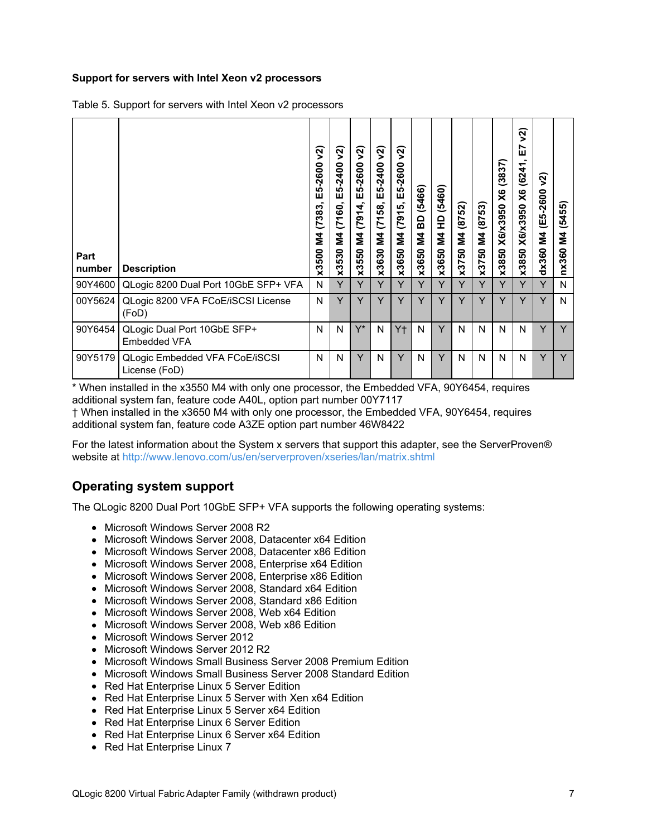#### **Support for servers with Intel Xeon v2 processors**

| Part<br>number | <b>Description</b> | $\widetilde{\mathbf{z}}$<br>2600<br>LÒ,<br>ш<br>(7383,<br>Σđ<br>500<br>$\tilde{\mathbf{x}}$ | ୨୧<br>$-2400$<br>LÒ,<br>ш<br>'160,<br>C<br>Σđ<br>530<br>$\tilde{\mathbf{x}}$ | $\widetilde{\mathsf{S}}$<br>2600<br>ທ<br>ш<br>4,<br>(791)<br>Σ<br>550<br>$\tilde{\mathbf{x}}$ | ন<br>><br>5-2400<br>ш<br>$\overline{3}$<br>$\overline{5}$<br>Σ<br>x3630 | ହି<br>5-2600<br>ш<br>ທົ<br>(791)<br>Σđ<br>x3650 | (5466)<br><b>GB</b><br>Σđ<br>x3650 | (5460)<br>읖<br>Σđ<br>x3650 | 52)<br>$\overline{18}$<br>Σđ<br><b>SO</b><br>N<br>$\boldsymbol{\mathsf{x}}$ | (8753)<br>ΣÁ<br>x3750 | (3837)<br>XG<br>X6/x3950<br>x3850 |
|----------------|--------------------|---------------------------------------------------------------------------------------------|------------------------------------------------------------------------------|-----------------------------------------------------------------------------------------------|-------------------------------------------------------------------------|-------------------------------------------------|------------------------------------|----------------------------|-----------------------------------------------------------------------------|-----------------------|-----------------------------------|
|                |                    |                                                                                             |                                                                              |                                                                                               |                                                                         |                                                 |                                    |                            |                                                                             |                       |                                   |

Table 5. Support for servers with Intel Xeon v2 processors

\* When installed in the x3550 M4 with only one processor, the Embedded VFA, 90Y6454, requires additional system fan, feature code A40L, option part number 00Y7117

90Y4600 QLogic 8200 Dual Port 10GbE SFP+ VFA  $\mid N \mid Y \mid Y \mid Y \mid Y \mid Y \mid Y \mid Y \mid Y \mid Y \mid Y \mid Y \mid Y \mid N$ 

N Y Y Y Y Y Y Y Y Y Y Y N

**x3850 X6/x3950 X6 (3837)**

**x3850 X6/x3950 X6 (6241, E7 v2)**

x3850 X6/x3950 X6 (6241,

 $\mathbf{v}$ E7

**dx360 M**

 $nx360$ 

**4 (5455)**

**4 (E5-2600 v2)**

N | N | Y\* | N | Y† | N | Y | N | N | N | N | Y | Y

N N Y N Y N Y N N N N Y Y

† When installed in the x3650 M4 with only one processor, the Embedded VFA, 90Y6454, requires additional system fan, feature code A3ZE option part number 46W8422

For the latest information about the System x servers that support this adapter, see the ServerProven® website at <http://www.lenovo.com/us/en/serverproven/xseries/lan/matrix.shtml>

## **Operating system support**

(FoD)

The QLogic 8200 Dual Port 10GbE SFP+ VFA supports the following operating systems:

• Microsoft Windows Server 2008 R2

00Y5624 QLogic 8200 VFA FCoE/iSCSI License

90Y5179 QLogic Embedded VFA FCoE/iSCSI

90Y6454 QLogic Dual Port 10GbE SFP+ Embedded VFA

License (FoD)

- Microsoft Windows Server 2008, Datacenter x64 Edition
- Microsoft Windows Server 2008, Datacenter x86 Edition
- Microsoft Windows Server 2008, Enterprise x64 Edition
- Microsoft Windows Server 2008, Enterprise x86 Edition
- Microsoft Windows Server 2008, Standard x64 Edition
- Microsoft Windows Server 2008, Standard x86 Edition
- Microsoft Windows Server 2008, Web x64 Edition
- Microsoft Windows Server 2008, Web x86 Edition  $\bullet$
- Microsoft Windows Server 2012
- Microsoft Windows Server 2012 R2
- Microsoft Windows Small Business Server 2008 Premium Edition
- Microsoft Windows Small Business Server 2008 Standard Edition
- Red Hat Enterprise Linux 5 Server Edition
- Red Hat Enterprise Linux 5 Server with Xen x64 Edition
- Red Hat Enterprise Linux 5 Server x64 Edition
- Red Hat Enterprise Linux 6 Server Edition
- Red Hat Enterprise Linux 6 Server x64 Edition
- Red Hat Enterprise Linux 7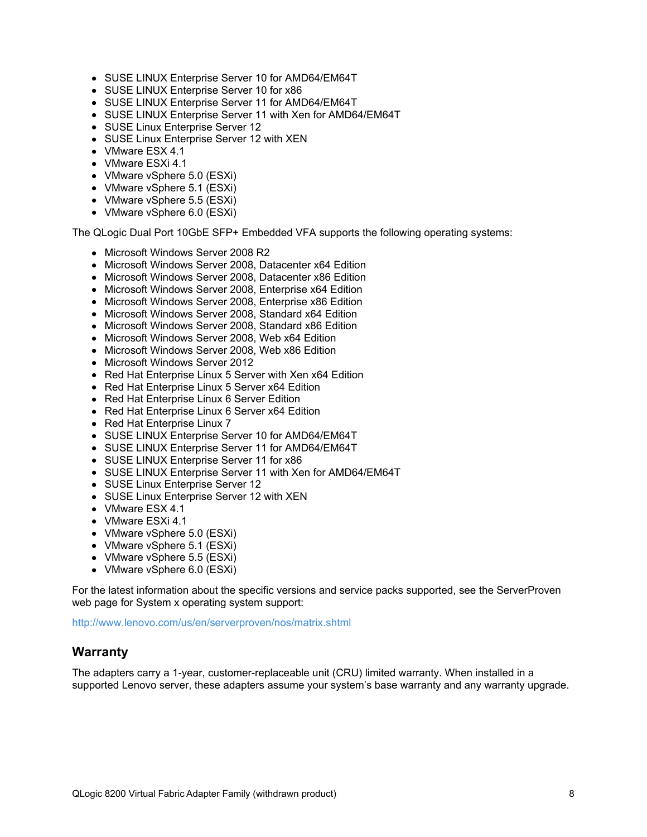- SUSE LINUX Enterprise Server 10 for AMD64/EM64T
- SUSE LINUX Enterprise Server 10 for x86
- SUSE LINUX Enterprise Server 11 for AMD64/EM64T
- SUSE LINUX Enterprise Server 11 with Xen for AMD64/EM64T
- SUSE Linux Enterprise Server 12
- SUSE Linux Enterprise Server 12 with XEN
- VMware ESX 4.1
- VMware ESXi 4.1
- VMware vSphere 5.0 (ESXi)
- VMware vSphere 5.1 (ESXi)
- VMware vSphere 5.5 (ESXi)
- VMware vSphere 6.0 (ESXi)

The QLogic Dual Port 10GbE SFP+ Embedded VFA supports the following operating systems:

- Microsoft Windows Server 2008 R2
- Microsoft Windows Server 2008, Datacenter x64 Edition
- Microsoft Windows Server 2008, Datacenter x86 Edition
- Microsoft Windows Server 2008, Enterprise x64 Edition
- Microsoft Windows Server 2008, Enterprise x86 Edition
- Microsoft Windows Server 2008, Standard x64 Edition
- Microsoft Windows Server 2008, Standard x86 Edition
- Microsoft Windows Server 2008, Web x64 Edition
- Microsoft Windows Server 2008, Web x86 Edition
- Microsoft Windows Server 2012
- Red Hat Enterprise Linux 5 Server with Xen x64 Edition
- Red Hat Enterprise Linux 5 Server x64 Edition
- Red Hat Enterprise Linux 6 Server Edition
- Red Hat Enterprise Linux 6 Server x64 Edition
- Red Hat Enterprise Linux 7
- SUSE LINUX Enterprise Server 10 for AMD64/EM64T
- SUSE LINUX Enterprise Server 11 for AMD64/EM64T
- SUSE LINUX Enterprise Server 11 for x86
- SUSE LINUX Enterprise Server 11 with Xen for AMD64/EM64T
- SUSE Linux Enterprise Server 12
- SUSE Linux Enterprise Server 12 with XEN
- VMware ESX 4.1
- VMware ESXi 4.1
- VMware vSphere 5.0 (ESXi)
- VMware vSphere 5.1 (ESXi)
- VMware vSphere 5.5 (ESXi)
- VMware vSphere 6.0 (ESXi)

For the latest information about the specific versions and service packs supported, see the ServerProven web page for System x operating system support:

<http://www.lenovo.com/us/en/serverproven/nos/matrix.shtml>

## **Warranty**

The adapters carry a 1-year, customer-replaceable unit (CRU) limited warranty. When installed in a supported Lenovo server, these adapters assume your system's base warranty and any warranty upgrade.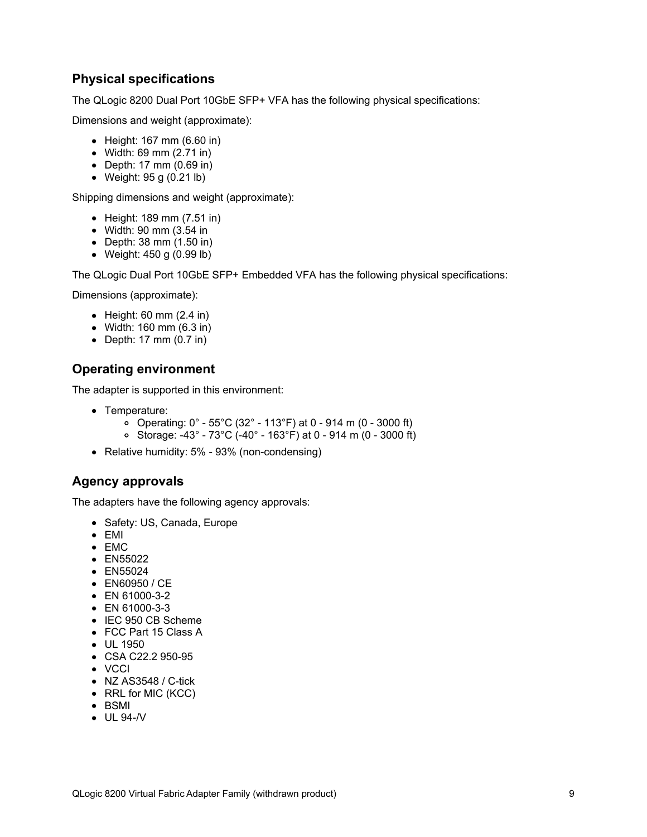## **Physical specifications**

The QLogic 8200 Dual Port 10GbE SFP+ VFA has the following physical specifications:

Dimensions and weight (approximate):

- Height: 167 mm (6.60 in)
- Width: 69 mm (2.71 in)
- $\bullet$  Depth: 17 mm (0.69 in)
- Weight: 95 g (0.21 lb)

Shipping dimensions and weight (approximate):

- Height: 189 mm (7.51 in)
- Width: 90 mm (3.54 in
- Depth: 38 mm (1.50 in)
- Weight: 450 g (0.99 lb)

The QLogic Dual Port 10GbE SFP+ Embedded VFA has the following physical specifications:

Dimensions (approximate):

- $\bullet$  Height: 60 mm (2.4 in)
- Width: 160 mm (6.3 in)
- $\bullet$  Depth: 17 mm (0.7 in)

## **Operating environment**

The adapter is supported in this environment:

- Temperature:
	- Operating: 0° 55°C (32° 113°F) at 0 914 m (0 3000 ft)
	- $\circ$  Storage: -43° 73°C (-40° 163°F) at 0 914 m (0 3000 ft)
- Relative humidity: 5% 93% (non-condensing)

## **Agency approvals**

The adapters have the following agency approvals:

- Safety: US, Canada, Europe
- EMI
- EMC
- **•** EN55022
- EN55024
- EN60950 / CE
- EN 61000-3-2
- EN 61000-3-3
- IEC 950 CB Scheme
- FCC Part 15 Class A
- UL 1950
- CSA C22.2 950-95
- VCCI
- $\bullet$  NZ AS3548 / C-tick
- RRL for MIC (KCC)
- BSMI
- $\bullet$  UL 94-/V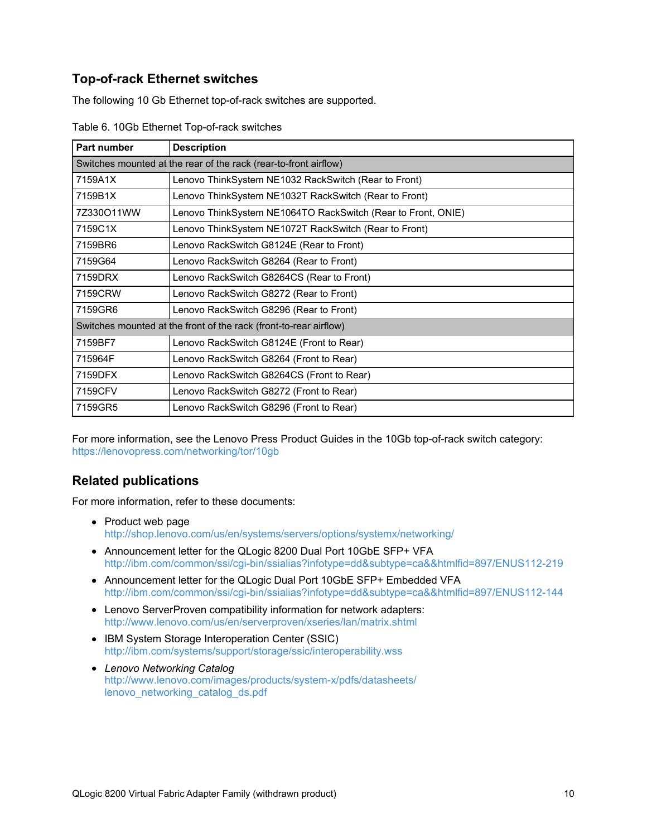# **Top-of-rack Ethernet switches**

The following 10 Gb Ethernet top-of-rack switches are supported.

| <b>Part number</b>                                                | <b>Description</b>                                           |  |  |  |  |
|-------------------------------------------------------------------|--------------------------------------------------------------|--|--|--|--|
| Switches mounted at the rear of the rack (rear-to-front airflow)  |                                                              |  |  |  |  |
| 7159A1X                                                           | Lenovo ThinkSystem NE1032 RackSwitch (Rear to Front)         |  |  |  |  |
| 7159B1X                                                           | Lenovo ThinkSystem NE1032T RackSwitch (Rear to Front)        |  |  |  |  |
| 7Z330O11WW                                                        | Lenovo ThinkSystem NE1064TO RackSwitch (Rear to Front, ONIE) |  |  |  |  |
| 7159C1X                                                           | Lenovo ThinkSystem NE1072T RackSwitch (Rear to Front)        |  |  |  |  |
| 7159BR6                                                           | Lenovo RackSwitch G8124E (Rear to Front)                     |  |  |  |  |
| 7159G64                                                           | Lenovo RackSwitch G8264 (Rear to Front)                      |  |  |  |  |
| 7159DRX                                                           | Lenovo RackSwitch G8264CS (Rear to Front)                    |  |  |  |  |
| 7159CRW                                                           | Lenovo RackSwitch G8272 (Rear to Front)                      |  |  |  |  |
| 7159GR6                                                           | Lenovo RackSwitch G8296 (Rear to Front)                      |  |  |  |  |
| Switches mounted at the front of the rack (front-to-rear airflow) |                                                              |  |  |  |  |
| 7159BF7                                                           | Lenovo RackSwitch G8124E (Front to Rear)                     |  |  |  |  |
| 715964F                                                           | Lenovo RackSwitch G8264 (Front to Rear)                      |  |  |  |  |
| 7159DFX                                                           | Lenovo RackSwitch G8264CS (Front to Rear)                    |  |  |  |  |
| 7159CFV                                                           | Lenovo RackSwitch G8272 (Front to Rear)                      |  |  |  |  |
| 7159GR5                                                           | Lenovo RackSwitch G8296 (Front to Rear)                      |  |  |  |  |

Table 6. 10Gb Ethernet Top-of-rack switches

For more information, see the Lenovo Press Product Guides in the 10Gb top-of-rack switch category: <https://lenovopress.com/networking/tor/10gb>

## **Related publications**

For more information, refer to these documents:

- Product web page <http://shop.lenovo.com/us/en/systems/servers/options/systemx/networking/>
- Announcement letter for the QLogic 8200 Dual Port 10GbE SFP+ VFA <http://ibm.com/common/ssi/cgi-bin/ssialias?infotype=dd&subtype=ca&&htmlfid=897/ENUS112-219>
- Announcement letter for the QLogic Dual Port 10GbE SFP+ Embedded VFA <http://ibm.com/common/ssi/cgi-bin/ssialias?infotype=dd&subtype=ca&&htmlfid=897/ENUS112-144>
- Lenovo ServerProven compatibility information for network adapters: <http://www.lenovo.com/us/en/serverproven/xseries/lan/matrix.shtml>
- IBM System Storage Interoperation Center (SSIC) <http://ibm.com/systems/support/storage/ssic/interoperability.wss>
- *Lenovo Networking Catalog* [http://www.lenovo.com/images/products/system-x/pdfs/datasheets/](http://www.lenovo.com/images/products/system-x/pdfs/datasheets/lenovo_networking_catalog_ds.pdf) lenovo\_networking\_catalog\_ds.pdf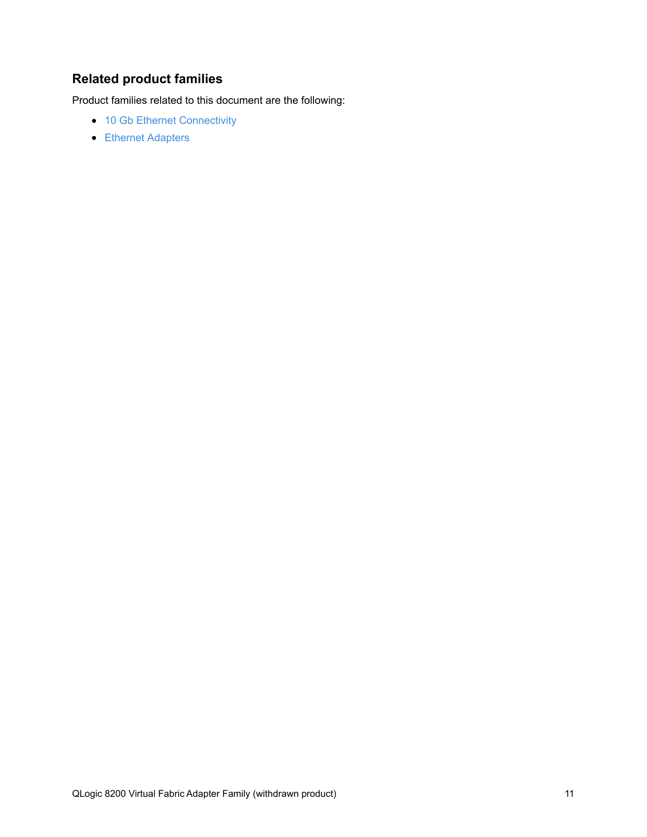# **Related product families**

Product families related to this document are the following:

- 10 Gb Ethernet [Connectivity](https://lenovopress.com/networking/tor/10gb)
- **Ethernet [Adapters](https://lenovopress.com/servers/options/ethernet)**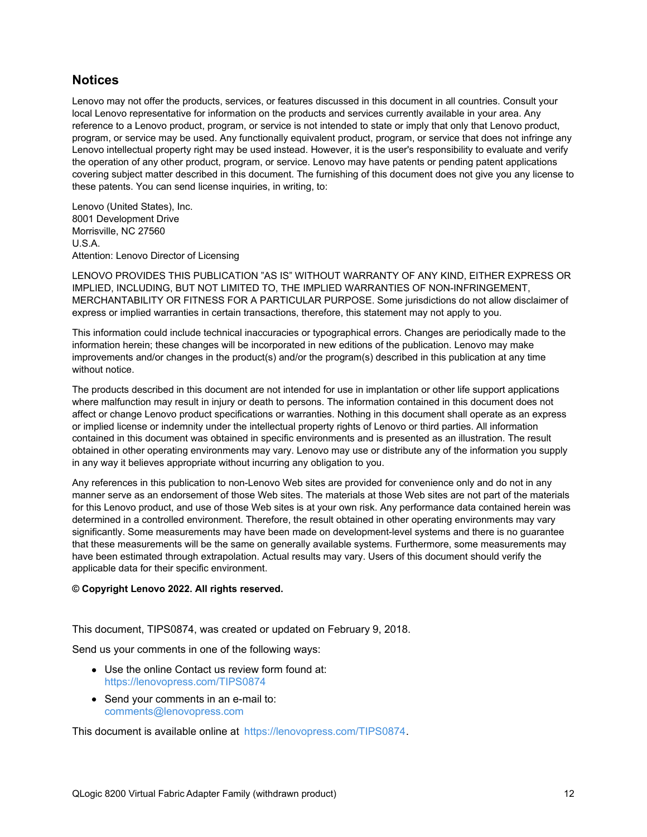## **Notices**

Lenovo may not offer the products, services, or features discussed in this document in all countries. Consult your local Lenovo representative for information on the products and services currently available in your area. Any reference to a Lenovo product, program, or service is not intended to state or imply that only that Lenovo product, program, or service may be used. Any functionally equivalent product, program, or service that does not infringe any Lenovo intellectual property right may be used instead. However, it is the user's responsibility to evaluate and verify the operation of any other product, program, or service. Lenovo may have patents or pending patent applications covering subject matter described in this document. The furnishing of this document does not give you any license to these patents. You can send license inquiries, in writing, to:

Lenovo (United States), Inc. 8001 Development Drive Morrisville, NC 27560 U.S.A. Attention: Lenovo Director of Licensing

LENOVO PROVIDES THIS PUBLICATION "AS IS" WITHOUT WARRANTY OF ANY KIND, EITHER EXPRESS OR IMPLIED, INCLUDING, BUT NOT LIMITED TO, THE IMPLIED WARRANTIES OF NON-INFRINGEMENT, MERCHANTABILITY OR FITNESS FOR A PARTICULAR PURPOSE. Some jurisdictions do not allow disclaimer of express or implied warranties in certain transactions, therefore, this statement may not apply to you.

This information could include technical inaccuracies or typographical errors. Changes are periodically made to the information herein; these changes will be incorporated in new editions of the publication. Lenovo may make improvements and/or changes in the product(s) and/or the program(s) described in this publication at any time without notice.

The products described in this document are not intended for use in implantation or other life support applications where malfunction may result in injury or death to persons. The information contained in this document does not affect or change Lenovo product specifications or warranties. Nothing in this document shall operate as an express or implied license or indemnity under the intellectual property rights of Lenovo or third parties. All information contained in this document was obtained in specific environments and is presented as an illustration. The result obtained in other operating environments may vary. Lenovo may use or distribute any of the information you supply in any way it believes appropriate without incurring any obligation to you.

Any references in this publication to non-Lenovo Web sites are provided for convenience only and do not in any manner serve as an endorsement of those Web sites. The materials at those Web sites are not part of the materials for this Lenovo product, and use of those Web sites is at your own risk. Any performance data contained herein was determined in a controlled environment. Therefore, the result obtained in other operating environments may vary significantly. Some measurements may have been made on development-level systems and there is no guarantee that these measurements will be the same on generally available systems. Furthermore, some measurements may have been estimated through extrapolation. Actual results may vary. Users of this document should verify the applicable data for their specific environment.

#### **© Copyright Lenovo 2022. All rights reserved.**

This document, TIPS0874, was created or updated on February 9, 2018.

Send us your comments in one of the following ways:

- Use the online Contact us review form found at: <https://lenovopress.com/TIPS0874>
- Send your comments in an e-mail to: [comments@lenovopress.com](mailto:comments@lenovopress.com?subject=Feedback for TIPS0874)

This document is available online at <https://lenovopress.com/TIPS0874>.